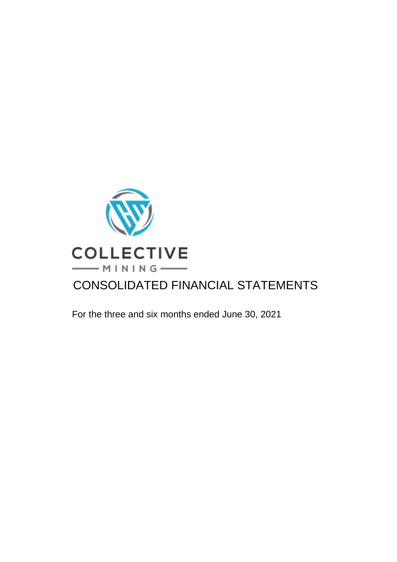

For the three and six months ended June 30, 2021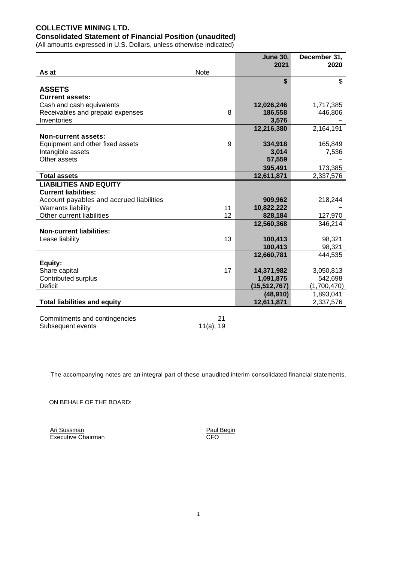# **COLLECTIVE MINING LTD. Consolidated Statement of Financial Position (unaudited)**

(All amounts expressed in U.S. Dollars, unless otherwise indicated)

|                                          |             | <b>June 30,</b> | December 31, |
|------------------------------------------|-------------|-----------------|--------------|
|                                          |             | 2021            | 2020         |
| As at                                    | <b>Note</b> |                 |              |
|                                          |             | \$              | \$           |
| <b>ASSETS</b>                            |             |                 |              |
| <b>Current assets:</b>                   |             |                 |              |
| Cash and cash equivalents                |             | 12,026,246      | 1,717,385    |
| Receivables and prepaid expenses         | 8           | 186,558         | 446,806      |
| Inventories                              |             | 3,576           |              |
|                                          |             | 12,216,380      | 2,164,191    |
| <b>Non-current assets:</b>               |             |                 |              |
| Equipment and other fixed assets         | 9           | 334,918         | 165,849      |
| Intangible assets                        |             | 3,014           | 7,536        |
| Other assets                             |             | 57,559          |              |
|                                          |             | 395,491         | 173,385      |
| <b>Total assets</b>                      |             | 12,611,871      | 2,337,576    |
| <b>LIABILITIES AND EQUITY</b>            |             |                 |              |
| <b>Current liabilities:</b>              |             |                 |              |
| Account payables and accrued liabilities |             | 909,962         | 218,244      |
| <b>Warrants liability</b>                | 11          | 10,822,222      |              |
| Other current liabilities                | 12          | 828,184         | 127,970      |
|                                          |             | 12,560,368      | 346,214      |
| <b>Non-current liabilities:</b>          |             |                 |              |
| Lease liability                          | 13          | 100,413         | 98,321       |
|                                          |             | 100,413         | 98,321       |
|                                          |             | 12,660,781      | 444,535      |
| Equity:                                  |             |                 |              |
| Share capital                            | 17          | 14,371,982      | 3,050,813    |
| Contributed surplus                      |             | 1,091,875       | 542,698      |
| <b>Deficit</b>                           |             | (15, 512, 767)  | (1,700,470)  |
|                                          |             | (48, 910)       | 1,893,041    |
| <b>Total liabilities and equity</b>      |             | 12,611,871      | 2,337,576    |
| Commitmonte and contingencies            | 24          |                 |              |

21 Commitments and contingencies 21<br>Subsequent events 21 11(a), 19 Subsequent events

The accompanying notes are an integral part of these unaudited interim consolidated financial statements.

ON BEHALF OF THE BOARD:

Ari Sussman **Paul Begin** Executive Chairman CFO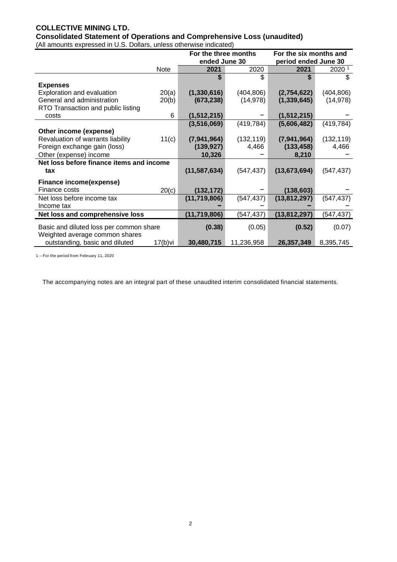# **COLLECTIVE MINING LTD.**

**Consolidated Statement of Operations and Comprehensive Loss (unaudited)** (All amounts expressed in U.S. Dollars, unless otherwise indicated)

|                                          |            | For the three months |            | For the six months and |            |
|------------------------------------------|------------|----------------------|------------|------------------------|------------|
|                                          |            | ended June 30        |            | period ended June 30   |            |
|                                          | Note       | 2021                 | 2020       | 2021                   | 2020 1     |
|                                          |            | \$                   | \$         | \$                     | \$         |
| <b>Expenses</b>                          |            |                      |            |                        |            |
| Exploration and evaluation               | 20(a)      | (1,330,616)          | (404, 806) | (2,754,622)            | (404, 806) |
| General and administration               | 20(b)      | (673, 238)           | (14, 978)  | (1, 339, 645)          | (14, 978)  |
| RTO Transaction and public listing       |            |                      |            |                        |            |
| costs                                    | 6          | (1, 512, 215)        |            | (1, 512, 215)          |            |
|                                          |            | (3,516,069)          | (419, 784) | (5,606,482)            | (419, 784) |
| Other income (expense)                   |            |                      |            |                        |            |
| Revaluation of warrants liability        | 11(c)      | (7,941,964)          | (132, 119) | (7,941,964)            | (132, 119) |
| Foreign exchange gain (loss)             |            | (139, 927)           | 4,466      | (133, 458)             | 4,466      |
| Other (expense) income                   |            | 10,326               |            | 8,210                  |            |
| Net loss before finance items and income |            |                      |            |                        |            |
| tax                                      |            | (11, 587, 634)       | (547, 437) | (13, 673, 694)         | (547,437)  |
| Finance income(expense)                  |            |                      |            |                        |            |
| Finance costs                            | 20(c)      | (132, 172)           |            | (138, 603)             |            |
| Net loss before income tax               |            | (11,719,806)         | (547, 437) | (13, 812, 297)         | (547,437)  |
| Income tax                               |            |                      |            |                        |            |
| Net loss and comprehensive loss          |            | (11, 719, 806)       | (547,437)  | (13, 812, 297)         | (547,437)  |
| Basic and diluted loss per common share  |            | (0.38)               | (0.05)     | (0.52)                 | (0.07)     |
| Weighted average common shares           |            |                      |            |                        |            |
| outstanding, basic and diluted           | $17(b)$ vi | 30,480,715           | 11,236,958 | 26,357,349             | 8,395,745  |

1 – For the period from February 11, 2020

The accompanying notes are an integral part of these unaudited interim consolidated financial statements.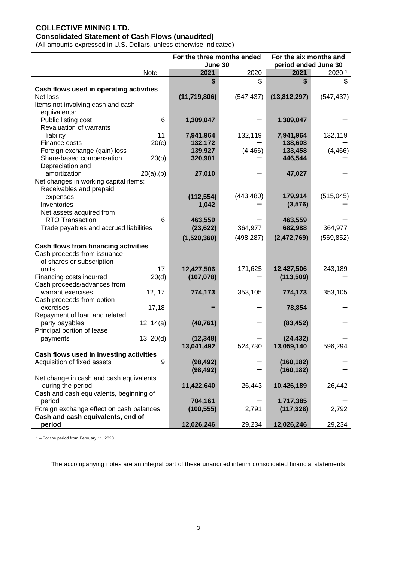# **COLLECTIVE MINING LTD.**

# **Consolidated Statement of Cash Flows (unaudited)**

(All amounts expressed in U.S. Dollars, unless otherwise indicated)

|                                             |               | For the three months ended |            | For the six months and |            |
|---------------------------------------------|---------------|----------------------------|------------|------------------------|------------|
|                                             |               | June 30                    |            | period ended June 30   |            |
|                                             | Note          | 2021                       | 2020       | 2021                   | 2020 1     |
|                                             |               | \$                         | \$         | \$                     | \$         |
| Cash flows used in operating activities     |               |                            |            |                        |            |
| Net loss                                    |               | (11, 719, 806)             | (547, 437) | (13,812,297)           | (547, 437) |
| Items not involving cash and cash           |               |                            |            |                        |            |
| equivalents:                                |               |                            |            |                        |            |
| Public listing cost                         | 6             | 1,309,047                  |            | 1,309,047              |            |
| <b>Revaluation of warrants</b>              |               |                            |            |                        |            |
| liability                                   | 11            | 7,941,964                  | 132,119    | 7,941,964              | 132,119    |
| Finance costs                               | 20(c)         | 132,172                    |            | 138,603                |            |
| Foreign exchange (gain) loss                |               | 139,927                    | (4, 466)   | 133,458                | (4, 466)   |
| Share-based compensation                    | 20(b)         | 320,901                    |            | 446,544                |            |
| Depreciation and                            |               |                            |            |                        |            |
| amortization                                | $20(a)$ , (b) | 27,010                     |            | 47,027                 |            |
| Net changes in working capital items:       |               |                            |            |                        |            |
| Receivables and prepaid                     |               |                            | (443, 480) | 179,914                | (515, 045) |
| expenses                                    |               | (112, 554)                 |            |                        |            |
| Inventories                                 |               | 1,042                      |            | (3,576)                |            |
| Net assets acquired from                    |               |                            |            |                        |            |
| RTO Transaction                             | 6             | 463,559                    |            | 463,559                |            |
| Trade payables and accrued liabilities      |               | (23, 622)                  | 364,977    | 682,988                | 364,977    |
|                                             |               | (1,520,360)                | (498,287)  | (2,472,769)            | (569, 852) |
| <b>Cash flows from financing activities</b> |               |                            |            |                        |            |
| Cash proceeds from issuance                 |               |                            |            |                        |            |
| of shares or subscription                   |               |                            |            |                        |            |
| units                                       | 17            | 12,427,506                 | 171,625    | 12,427,506             | 243,189    |
| Financing costs incurred                    | 20(d)         | (107, 078)                 |            | (113, 509)             |            |
| Cash proceeds/advances from                 |               |                            |            |                        |            |
| warrant exercises                           | 12, 17        | 774,173                    | 353,105    | 774,173                | 353,105    |
| Cash proceeds from option                   |               |                            |            |                        |            |
| exercises                                   | 17,18         |                            |            | 78,854                 |            |
| Repayment of loan and related               |               |                            |            |                        |            |
| party payables                              | 12, 14(a)     | (40, 761)                  |            | (83, 452)              |            |
| Principal portion of lease                  |               |                            |            |                        |            |
| payments                                    | 13, 20(d)     | (12, 348)                  |            | (24, 432)              |            |
|                                             |               | 13,041,492                 | 524,730    | 13,059,140             | 596,294    |
| Cash flows used in investing activities     |               |                            |            |                        |            |
| Acquisition of fixed assets                 | 9             | (98, 492)                  |            | (160, 182)             |            |
|                                             |               | (98, 492)                  |            | (160, 182)             |            |
| Net change in cash and cash equivalents     |               |                            |            |                        |            |
| during the period                           |               | 11,422,640                 | 26,443     | 10,426,189             | 26,442     |
| Cash and cash equivalents, beginning of     |               |                            |            |                        |            |
| period                                      |               | 704,161                    |            | 1,717,385              |            |
| Foreign exchange effect on cash balances    |               | (100, 555)                 | 2,791      | (117, 328)             | 2,792      |
| Cash and cash equivalents, end of           |               |                            |            |                        |            |
| period                                      |               | 12,026,246                 | 29,234     | 12,026,246             | 29,234     |

1 – For the period from February 11, 2020

The accompanying notes are an integral part of these unaudited interim consolidated financial statements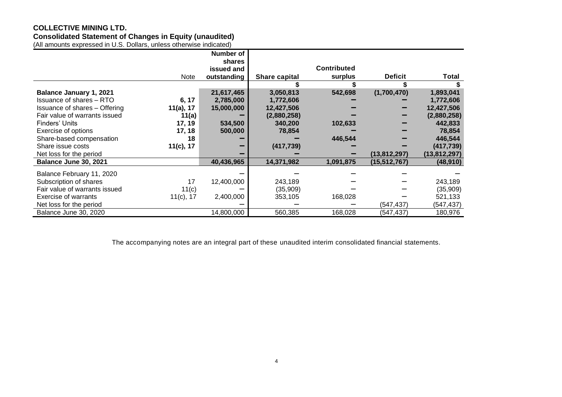# **COLLECTIVE MINING LTD.**

**Consolidated Statement of Changes in Equity (unaudited)**

| (All amounts expressed in U.S. Dollars, unless otherwise indicated) |              |             |               |                    |                |                |
|---------------------------------------------------------------------|--------------|-------------|---------------|--------------------|----------------|----------------|
|                                                                     |              | Number of   |               |                    |                |                |
|                                                                     |              | shares      |               |                    |                |                |
|                                                                     |              | issued and  |               | <b>Contributed</b> |                |                |
|                                                                     | <b>Note</b>  | outstanding | Share capital | surplus            | <b>Deficit</b> | <b>Total</b>   |
|                                                                     |              |             |               |                    |                |                |
| <b>Balance January 1, 2021</b>                                      |              | 21,617,465  | 3,050,813     | 542,698            | (1,700,470)    | 1,893,041      |
| Issuance of shares - RTO                                            | 6, 17        | 2,785,000   | 1,772,606     |                    |                | 1,772,606      |
| Issuance of shares - Offering                                       | 11(a), 17    | 15,000,000  | 12,427,506    |                    |                | 12,427,506     |
| Fair value of warrants issued                                       | 11(a)        |             | (2,880,258)   |                    |                | (2,880,258)    |
| Finders' Units                                                      | 17, 19       | 534,500     | 340,200       | 102,633            |                | 442,833        |
| Exercise of options                                                 | 17, 18       | 500,000     | 78,854        |                    |                | 78,854         |
| Share-based compensation                                            | 18           |             |               | 446,544            |                | 446,544        |
| Share issue costs                                                   | 11(c), 17    |             | (417, 739)    |                    |                | (417, 739)     |
| Net loss for the period                                             |              |             |               |                    | (13, 812, 297) | (13, 812, 297) |
| Balance June 30, 2021                                               |              | 40,436,965  | 14,371,982    | 1,091,875          | (15,512,767)   | (48, 910)      |
| Balance February 11, 2020                                           |              |             |               |                    |                |                |
| Subscription of shares                                              | 17           | 12,400,000  | 243,189       |                    |                | 243,189        |
| Fair value of warrants issued                                       | 11(c)        |             | (35,909)      |                    |                | (35,909)       |
| Exercise of warrants                                                | $11(c)$ , 17 | 2,400,000   | 353,105       | 168,028            |                | 521,133        |
| Net loss for the period                                             |              |             |               |                    | (547, 437)     | (547, 437)     |
| Balance June 30, 2020                                               |              | 14,800,000  | 560,385       | 168,028            | (547,437)      | 180,976        |

The accompanying notes are an integral part of these unaudited interim consolidated financial statements.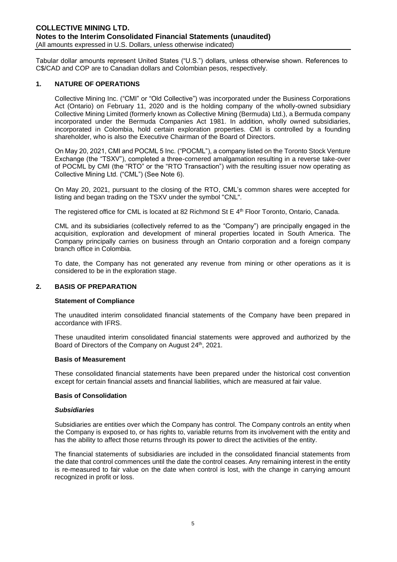Tabular dollar amounts represent United States ("U.S.") dollars, unless otherwise shown. References to C\$/CAD and COP are to Canadian dollars and Colombian pesos, respectively.

### **1. NATURE OF OPERATIONS**

Collective Mining Inc. ("CMI" or "Old Collective") was incorporated under the Business Corporations Act (Ontario) on February 11, 2020 and is the holding company of the wholly-owned subsidiary Collective Mining Limited (formerly known as Collective Mining (Bermuda) Ltd.), a Bermuda company incorporated under the Bermuda Companies Act 1981. In addition, wholly owned subsidiaries, incorporated in Colombia, hold certain exploration properties. CMI is controlled by a founding shareholder, who is also the Executive Chairman of the Board of Directors.

On May 20, 2021, CMI and POCML 5 Inc. ("POCML"), a company listed on the Toronto Stock Venture Exchange (the "TSXV"), completed a three-cornered amalgamation resulting in a reverse take-over of POCML by CMI (the "RTO" or the "RTO Transaction") with the resulting issuer now operating as Collective Mining Ltd. ("CML") (See Note 6).

On May 20, 2021, pursuant to the closing of the RTO, CML's common shares were accepted for listing and began trading on the TSXV under the symbol "CNL".

The registered office for CML is located at 82 Richmond St E 4<sup>th</sup> Floor Toronto, Ontario, Canada.

CML and its subsidiaries (collectively referred to as the "Company") are principally engaged in the acquisition, exploration and development of mineral properties located in South America. The Company principally carries on business through an Ontario corporation and a foreign company branch office in Colombia.

To date, the Company has not generated any revenue from mining or other operations as it is considered to be in the exploration stage.

#### **2. BASIS OF PREPARATION**

#### **Statement of Compliance**

The unaudited interim consolidated financial statements of the Company have been prepared in accordance with IFRS.

These unaudited interim consolidated financial statements were approved and authorized by the Board of Directors of the Company on August 24<sup>th</sup>, 2021.

#### **Basis of Measurement**

These consolidated financial statements have been prepared under the historical cost convention except for certain financial assets and financial liabilities, which are measured at fair value.

#### **Basis of Consolidation**

#### *Subsidiaries*

Subsidiaries are entities over which the Company has control. The Company controls an entity when the Company is exposed to, or has rights to, variable returns from its involvement with the entity and has the ability to affect those returns through its power to direct the activities of the entity.

The financial statements of subsidiaries are included in the consolidated financial statements from the date that control commences until the date the control ceases. Any remaining interest in the entity is re-measured to fair value on the date when control is lost, with the change in carrying amount recognized in profit or loss.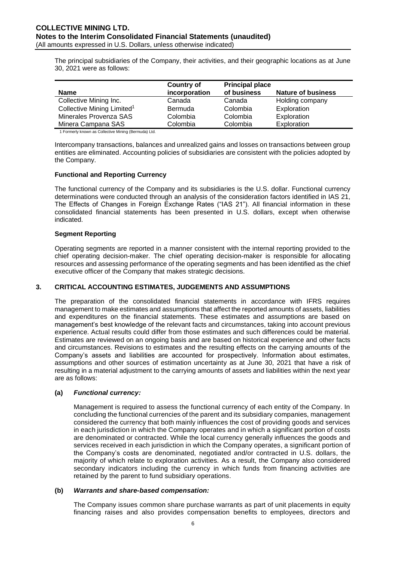The principal subsidiaries of the Company, their activities, and their geographic locations as at June 30, 2021 were as follows:

| <b>Country of</b> |             |                           |
|-------------------|-------------|---------------------------|
| incorporation     | of business | <b>Nature of business</b> |
| Canada            | Canada      | Holding company           |
| <b>Bermuda</b>    | Colombia    | Exploration               |
| Colombia          | Colombia    | Exploration               |
| Colombia          | Colombia    | Exploration               |
|                   |             | <b>Principal place</b>    |

1 Formerly known as Collective Mining (Bermuda) Ltd.

Intercompany transactions, balances and unrealized gains and losses on transactions between group entities are eliminated. Accounting policies of subsidiaries are consistent with the policies adopted by the Company.

### **Functional and Reporting Currency**

The functional currency of the Company and its subsidiaries is the U.S. dollar. Functional currency determinations were conducted through an analysis of the consideration factors identified in IAS 21, The Effects of Changes in Foreign Exchange Rates ("IAS 21"). All financial information in these consolidated financial statements has been presented in U.S. dollars, except when otherwise indicated.

### **Segment Reporting**

Operating segments are reported in a manner consistent with the internal reporting provided to the chief operating decision-maker. The chief operating decision-maker is responsible for allocating resources and assessing performance of the operating segments and has been identified as the chief executive officer of the Company that makes strategic decisions.

# **3. CRITICAL ACCOUNTING ESTIMATES, JUDGEMENTS AND ASSUMPTIONS**

The preparation of the consolidated financial statements in accordance with IFRS requires management to make estimates and assumptions that affect the reported amounts of assets, liabilities and expenditures on the financial statements. These estimates and assumptions are based on management's best knowledge of the relevant facts and circumstances, taking into account previous experience. Actual results could differ from those estimates and such differences could be material. Estimates are reviewed on an ongoing basis and are based on historical experience and other facts and circumstances. Revisions to estimates and the resulting effects on the carrying amounts of the Company's assets and liabilities are accounted for prospectively. Information about estimates, assumptions and other sources of estimation uncertainty as at June 30, 2021 that have a risk of resulting in a material adjustment to the carrying amounts of assets and liabilities within the next year are as follows:

#### **(a)** *Functional currency:*

Management is required to assess the functional currency of each entity of the Company. In concluding the functional currencies of the parent and its subsidiary companies, management considered the currency that both mainly influences the cost of providing goods and services in each jurisdiction in which the Company operates and in which a significant portion of costs are denominated or contracted. While the local currency generally influences the goods and services received in each jurisdiction in which the Company operates, a significant portion of the Company's costs are denominated, negotiated and/or contracted in U.S. dollars, the majority of which relate to exploration activities. As a result, the Company also considered secondary indicators including the currency in which funds from financing activities are retained by the parent to fund subsidiary operations.

#### **(b)** *Warrants and share-based compensation:*

The Company issues common share purchase warrants as part of unit placements in equity financing raises and also provides compensation benefits to employees, directors and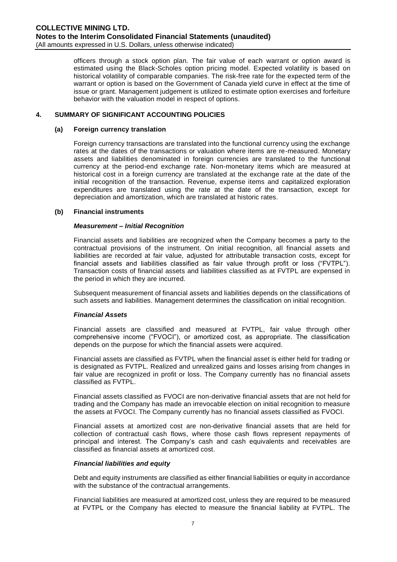officers through a stock option plan. The fair value of each warrant or option award is estimated using the Black-Scholes option pricing model. Expected volatility is based on historical volatility of comparable companies. The risk-free rate for the expected term of the warrant or option is based on the Government of Canada yield curve in effect at the time of issue or grant. Management judgement is utilized to estimate option exercises and forfeiture behavior with the valuation model in respect of options.

# **4. SUMMARY OF SIGNIFICANT ACCOUNTING POLICIES**

#### **(a) Foreign currency translation**

Foreign currency transactions are translated into the functional currency using the exchange rates at the dates of the transactions or valuation where items are re-measured. Monetary assets and liabilities denominated in foreign currencies are translated to the functional currency at the period-end exchange rate. Non-monetary items which are measured at historical cost in a foreign currency are translated at the exchange rate at the date of the initial recognition of the transaction. Revenue, expense items and capitalized exploration expenditures are translated using the rate at the date of the transaction, except for depreciation and amortization, which are translated at historic rates.

### **(b) Financial instruments**

#### *Measurement – Initial Recognition*

Financial assets and liabilities are recognized when the Company becomes a party to the contractual provisions of the instrument. On initial recognition, all financial assets and liabilities are recorded at fair value, adjusted for attributable transaction costs, except for financial assets and liabilities classified as fair value through profit or loss ("FVTPL"). Transaction costs of financial assets and liabilities classified as at FVTPL are expensed in the period in which they are incurred.

Subsequent measurement of financial assets and liabilities depends on the classifications of such assets and liabilities. Management determines the classification on initial recognition.

# *Financial Assets*

Financial assets are classified and measured at FVTPL, fair value through other comprehensive income ("FVOCI"), or amortized cost, as appropriate. The classification depends on the purpose for which the financial assets were acquired.

Financial assets are classified as FVTPL when the financial asset is either held for trading or is designated as FVTPL. Realized and unrealized gains and losses arising from changes in fair value are recognized in profit or loss. The Company currently has no financial assets classified as FVTPL.

Financial assets classified as FVOCI are non-derivative financial assets that are not held for trading and the Company has made an irrevocable election on initial recognition to measure the assets at FVOCI. The Company currently has no financial assets classified as FVOCI.

Financial assets at amortized cost are non-derivative financial assets that are held for collection of contractual cash flows, where those cash flows represent repayments of principal and interest. The Company's cash and cash equivalents and receivables are classified as financial assets at amortized cost.

#### *Financial liabilities and equity*

Debt and equity instruments are classified as either financial liabilities or equity in accordance with the substance of the contractual arrangements.

Financial liabilities are measured at amortized cost, unless they are required to be measured at FVTPL or the Company has elected to measure the financial liability at FVTPL. The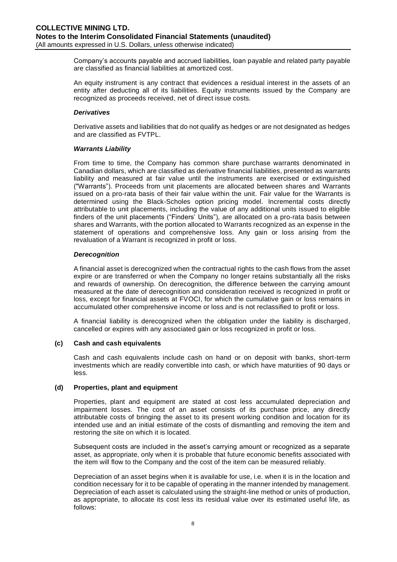Company's accounts payable and accrued liabilities, loan payable and related party payable are classified as financial liabilities at amortized cost.

An equity instrument is any contract that evidences a residual interest in the assets of an entity after deducting all of its liabilities. Equity instruments issued by the Company are recognized as proceeds received, net of direct issue costs.

### *Derivatives*

Derivative assets and liabilities that do not qualify as hedges or are not designated as hedges and are classified as FVTPL.

### *Warrants Liability*

From time to time, the Company has common share purchase warrants denominated in Canadian dollars, which are classified as derivative financial liabilities, presented as warrants liability and measured at fair value until the instruments are exercised or extinguished ("Warrants"). Proceeds from unit placements are allocated between shares and Warrants issued on a pro-rata basis of their fair value within the unit. Fair value for the Warrants is determined using the Black-Scholes option pricing model. Incremental costs directly attributable to unit placements, including the value of any additional units issued to eligible finders of the unit placements ("Finders' Units"), are allocated on a pro-rata basis between shares and Warrants, with the portion allocated to Warrants recognized as an expense in the statement of operations and comprehensive loss. Any gain or loss arising from the revaluation of a Warrant is recognized in profit or loss.

### *Derecognition*

A financial asset is derecognized when the contractual rights to the cash flows from the asset expire or are transferred or when the Company no longer retains substantially all the risks and rewards of ownership. On derecognition, the difference between the carrying amount measured at the date of derecognition and consideration received is recognized in profit or loss, except for financial assets at FVOCI, for which the cumulative gain or loss remains in accumulated other comprehensive income or loss and is not reclassified to profit or loss.

A financial liability is derecognized when the obligation under the liability is discharged, cancelled or expires with any associated gain or loss recognized in profit or loss.

# **(c) Cash and cash equivalents**

Cash and cash equivalents include cash on hand or on deposit with banks, short-term investments which are readily convertible into cash, or which have maturities of 90 days or less.

#### **(d) Properties, plant and equipment**

Properties, plant and equipment are stated at cost less accumulated depreciation and impairment losses. The cost of an asset consists of its purchase price, any directly attributable costs of bringing the asset to its present working condition and location for its intended use and an initial estimate of the costs of dismantling and removing the item and restoring the site on which it is located.

Subsequent costs are included in the asset's carrying amount or recognized as a separate asset, as appropriate, only when it is probable that future economic benefits associated with the item will flow to the Company and the cost of the item can be measured reliably.

Depreciation of an asset begins when it is available for use, i.e. when it is in the location and condition necessary for it to be capable of operating in the manner intended by management. Depreciation of each asset is calculated using the straight-line method or units of production, as appropriate, to allocate its cost less its residual value over its estimated useful life, as follows: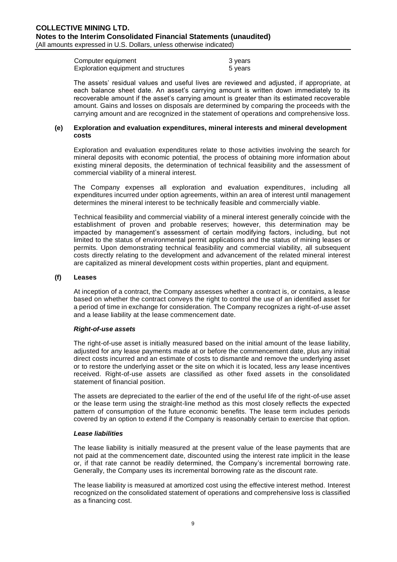Computer equipment 3 years Exploration equipment and structures 5 years

The assets' residual values and useful lives are reviewed and adjusted, if appropriate, at each balance sheet date. An asset's carrying amount is written down immediately to its recoverable amount if the asset's carrying amount is greater than its estimated recoverable amount. Gains and losses on disposals are determined by comparing the proceeds with the carrying amount and are recognized in the statement of operations and comprehensive loss.

#### **(e) Exploration and evaluation expenditures, mineral interests and mineral development costs**

Exploration and evaluation expenditures relate to those activities involving the search for mineral deposits with economic potential, the process of obtaining more information about existing mineral deposits, the determination of technical feasibility and the assessment of commercial viability of a mineral interest.

The Company expenses all exploration and evaluation expenditures, including all expenditures incurred under option agreements, within an area of interest until management determines the mineral interest to be technically feasible and commercially viable.

Technical feasibility and commercial viability of a mineral interest generally coincide with the establishment of proven and probable reserves; however, this determination may be impacted by management's assessment of certain modifying factors, including, but not limited to the status of environmental permit applications and the status of mining leases or permits. Upon demonstrating technical feasibility and commercial viability, all subsequent costs directly relating to the development and advancement of the related mineral interest are capitalized as mineral development costs within properties, plant and equipment.

#### **(f) Leases**

At inception of a contract, the Company assesses whether a contract is, or contains, a lease based on whether the contract conveys the right to control the use of an identified asset for a period of time in exchange for consideration. The Company recognizes a right-of-use asset and a lease liability at the lease commencement date.

#### *Right-of-use assets*

The right-of-use asset is initially measured based on the initial amount of the lease liability, adjusted for any lease payments made at or before the commencement date, plus any initial direct costs incurred and an estimate of costs to dismantle and remove the underlying asset or to restore the underlying asset or the site on which it is located, less any lease incentives received. Right-of-use assets are classified as other fixed assets in the consolidated statement of financial position.

The assets are depreciated to the earlier of the end of the useful life of the right-of-use asset or the lease term using the straight-line method as this most closely reflects the expected pattern of consumption of the future economic benefits. The lease term includes periods covered by an option to extend if the Company is reasonably certain to exercise that option.

#### *Lease liabilities*

The lease liability is initially measured at the present value of the lease payments that are not paid at the commencement date, discounted using the interest rate implicit in the lease or, if that rate cannot be readily determined, the Company's incremental borrowing rate. Generally, the Company uses its incremental borrowing rate as the discount rate.

The lease liability is measured at amortized cost using the effective interest method. Interest recognized on the consolidated statement of operations and comprehensive loss is classified as a financing cost.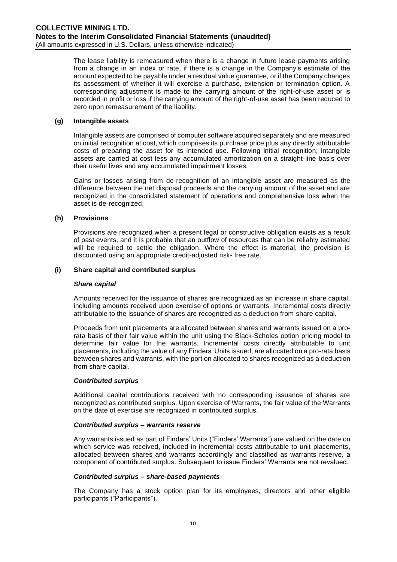The lease liability is remeasured when there is a change in future lease payments arising from a change in an index or rate, if there is a change in the Company's estimate of the amount expected to be payable under a residual value guarantee, or if the Company changes its assessment of whether it will exercise a purchase, extension or termination option. A corresponding adjustment is made to the carrying amount of the right-of-use asset or is recorded in profit or loss if the carrying amount of the right-of-use asset has been reduced to zero upon remeasurement of the liability.

# **(g) Intangible assets**

Intangible assets are comprised of computer software acquired separately and are measured on initial recognition at cost, which comprises its purchase price plus any directly attributable costs of preparing the asset for its intended use. Following initial recognition, intangible assets are carried at cost less any accumulated amortization on a straight-line basis over their useful lives and any accumulated impairment losses.

Gains or losses arising from de-recognition of an intangible asset are measured as the difference between the net disposal proceeds and the carrying amount of the asset and are recognized in the consolidated statement of operations and comprehensive loss when the asset is de-recognized.

#### **(h) Provisions**

Provisions are recognized when a present legal or constructive obligation exists as a result of past events, and it is probable that an outflow of resources that can be reliably estimated will be required to settle the obligation. Where the effect is material, the provision is discounted using an appropriate credit-adjusted risk- free rate.

### **(i) Share capital and contributed surplus**

#### *Share capital*

Amounts received for the issuance of shares are recognized as an increase in share capital, including amounts received upon exercise of options or warrants. Incremental costs directly attributable to the issuance of shares are recognized as a deduction from share capital.

Proceeds from unit placements are allocated between shares and warrants issued on a prorata basis of their fair value within the unit using the Black-Scholes option pricing model to determine fair value for the warrants. Incremental costs directly attributable to unit placements, including the value of any Finders' Units issued, are allocated on a pro-rata basis between shares and warrants, with the portion allocated to shares recognized as a deduction from share capital.

#### *Contributed surplus*

Additional capital contributions received with no corresponding issuance of shares are recognized as contributed surplus. Upon exercise of Warrants, the fair value of the Warrants on the date of exercise are recognized in contributed surplus.

#### *Contributed surplus – warrants reserve*

Any warrants issued as part of Finders' Units ("Finders' Warrants") are valued on the date on which service was received, included in incremental costs attributable to unit placements, allocated between shares and warrants accordingly and classified as warrants reserve, a component of contributed surplus. Subsequent to issue Finders' Warrants are not revalued.

#### *Contributed surplus – share-based payments*

The Company has a stock option plan for its employees, directors and other eligible participants ("Participants").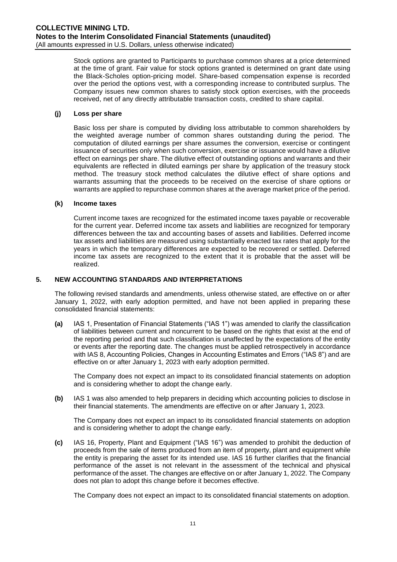Stock options are granted to Participants to purchase common shares at a price determined at the time of grant. Fair value for stock options granted is determined on grant date using the Black-Scholes option-pricing model. Share-based compensation expense is recorded over the period the options vest, with a corresponding increase to contributed surplus. The Company issues new common shares to satisfy stock option exercises, with the proceeds received, net of any directly attributable transaction costs, credited to share capital.

### **(j) Loss per share**

Basic loss per share is computed by dividing loss attributable to common shareholders by the weighted average number of common shares outstanding during the period. The computation of diluted earnings per share assumes the conversion, exercise or contingent issuance of securities only when such conversion, exercise or issuance would have a dilutive effect on earnings per share. The dilutive effect of outstanding options and warrants and their equivalents are reflected in diluted earnings per share by application of the treasury stock method. The treasury stock method calculates the dilutive effect of share options and warrants assuming that the proceeds to be received on the exercise of share options or warrants are applied to repurchase common shares at the average market price of the period.

### **(k) Income taxes**

Current income taxes are recognized for the estimated income taxes payable or recoverable for the current year. Deferred income tax assets and liabilities are recognized for temporary differences between the tax and accounting bases of assets and liabilities. Deferred income tax assets and liabilities are measured using substantially enacted tax rates that apply for the years in which the temporary differences are expected to be recovered or settled. Deferred income tax assets are recognized to the extent that it is probable that the asset will be realized.

# **5. NEW ACCOUNTING STANDARDS AND INTERPRETATIONS**

The following revised standards and amendments, unless otherwise stated, are effective on or after January 1, 2022, with early adoption permitted, and have not been applied in preparing these consolidated financial statements:

**(a)** IAS 1, Presentation of Financial Statements ("IAS 1") was amended to clarify the classification of liabilities between current and noncurrent to be based on the rights that exist at the end of the reporting period and that such classification is unaffected by the expectations of the entity or events after the reporting date. The changes must be applied retrospectively in accordance with IAS 8, Accounting Policies, Changes in Accounting Estimates and Errors ("IAS 8") and are effective on or after January 1, 2023 with early adoption permitted.

The Company does not expect an impact to its consolidated financial statements on adoption and is considering whether to adopt the change early.

**(b)** IAS 1 was also amended to help preparers in deciding which accounting policies to disclose in their financial statements. The amendments are effective on or after January 1, 2023.

The Company does not expect an impact to its consolidated financial statements on adoption and is considering whether to adopt the change early.

**(c)** IAS 16, Property, Plant and Equipment ("IAS 16") was amended to prohibit the deduction of proceeds from the sale of items produced from an item of property, plant and equipment while the entity is preparing the asset for its intended use. IAS 16 further clarifies that the financial performance of the asset is not relevant in the assessment of the technical and physical performance of the asset. The changes are effective on or after January 1, 2022. The Company does not plan to adopt this change before it becomes effective.

The Company does not expect an impact to its consolidated financial statements on adoption.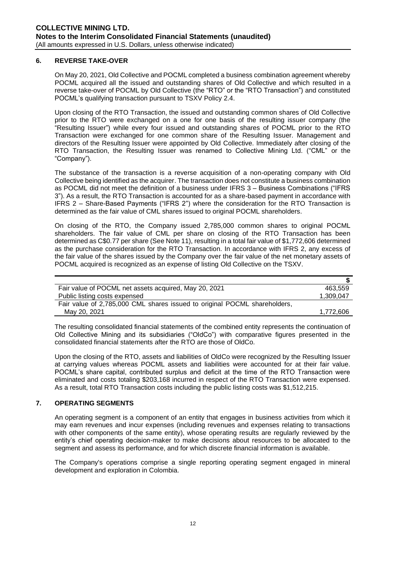### **6. REVERSE TAKE-OVER**

On May 20, 2021, Old Collective and POCML completed a business combination agreement whereby POCML acquired all the issued and outstanding shares of Old Collective and which resulted in a reverse take-over of POCML by Old Collective (the "RTO" or the "RTO Transaction") and constituted POCML's qualifying transaction pursuant to TSXV Policy 2.4.

Upon closing of the RTO Transaction, the issued and outstanding common shares of Old Collective prior to the RTO were exchanged on a one for one basis of the resulting issuer company (the "Resulting Issuer") while every four issued and outstanding shares of POCML prior to the RTO Transaction were exchanged for one common share of the Resulting Issuer. Management and directors of the Resulting Issuer were appointed by Old Collective. Immediately after closing of the RTO Transaction, the Resulting Issuer was renamed to Collective Mining Ltd. ("CML" or the "Company").

The substance of the transaction is a reverse acquisition of a non-operating company with Old Collective being identified as the acquirer. The transaction does not constitute a business combination as POCML did not meet the definition of a business under IFRS 3 – Business Combinations ("IFRS 3"). As a result, the RTO Transaction is accounted for as a share-based payment in accordance with IFRS 2 – Share-Based Payments ("IFRS 2") where the consideration for the RTO Transaction is determined as the fair value of CML shares issued to original POCML shareholders.

On closing of the RTO, the Company issued 2,785,000 common shares to original POCML shareholders. The fair value of CML per share on closing of the RTO Transaction has been determined as C\$0.77 per share (See Note 11), resulting in a total fair value of \$1,772,606 determined as the purchase consideration for the RTO Transaction. In accordance with IFRS 2, any excess of the fair value of the shares issued by the Company over the fair value of the net monetary assets of POCML acquired is recognized as an expense of listing Old Collective on the TSXV.

| Fair value of POCML net assets acquired, May 20, 2021                     | 463.559   |
|---------------------------------------------------------------------------|-----------|
| Public listing costs expensed                                             | 1,309,047 |
| Fair value of 2,785,000 CML shares issued to original POCML shareholders, |           |
| May 20, 2021                                                              | 1.772.606 |

The resulting consolidated financial statements of the combined entity represents the continuation of Old Collective Mining and its subsidiaries ("OldCo") with comparative figures presented in the consolidated financial statements after the RTO are those of OldCo.

Upon the closing of the RTO, assets and liabilities of OldCo were recognized by the Resulting Issuer at carrying values whereas POCML assets and liabilities were accounted for at their fair value. POCML's share capital, contributed surplus and deficit at the time of the RTO Transaction were eliminated and costs totaling \$203,168 incurred in respect of the RTO Transaction were expensed. As a result, total RTO Transaction costs including the public listing costs was \$1,512,215.

# **7. OPERATING SEGMENTS**

An operating segment is a component of an entity that engages in business activities from which it may earn revenues and incur expenses (including revenues and expenses relating to transactions with other components of the same entity), whose operating results are regularly reviewed by the entity's chief operating decision-maker to make decisions about resources to be allocated to the segment and assess its performance, and for which discrete financial information is available.

The Company's operations comprise a single reporting operating segment engaged in mineral development and exploration in Colombia.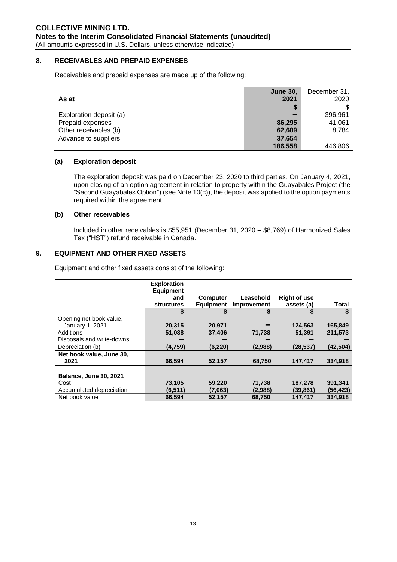### **8. RECEIVABLES AND PREPAID EXPENSES**

Receivables and prepaid expenses are made up of the following:

|                         | <b>June 30,</b> | December 31, |
|-------------------------|-----------------|--------------|
| As at                   | 2021            | 2020         |
|                         | S               |              |
| Exploration deposit (a) |                 | 396,961      |
| Prepaid expenses        | 86,295          | 41,061       |
| Other receivables (b)   | 62,609          | 8,784        |
| Advance to suppliers    | 37,654          |              |
|                         | 186,558         | 446,806      |

### **(a) Exploration deposit**

The exploration deposit was paid on December 23, 2020 to third parties. On January 4, 2021, upon closing of an option agreement in relation to property within the Guayabales Project (the "Second Guayabales Option") (see Note 10(c)), the deposit was applied to the option payments required within the agreement.

# **(b) Other receivables**

Included in other receivables is \$55,951 (December 31, 2020 – \$8,769) of Harmonized Sales Tax ("HST") refund receivable in Canada.

# **9. EQUIPMENT AND OTHER FIXED ASSETS**

Equipment and other fixed assets consist of the following:

|                               | <b>Exploration</b> |                  |             |                     |           |
|-------------------------------|--------------------|------------------|-------------|---------------------|-----------|
|                               | <b>Equipment</b>   |                  |             |                     |           |
|                               | and                | <b>Computer</b>  | Leasehold   | <b>Right of use</b> |           |
|                               |                    |                  |             |                     |           |
|                               | <b>structures</b>  | <b>Equipment</b> | Improvement | assets (a)          | Total     |
|                               | \$                 | \$               | \$          | S                   | S         |
| Opening net book value,       |                    |                  |             |                     |           |
| January 1, 2021               | 20,315             | 20,971           |             | 124.563             | 165,849   |
| Additions                     | 51,038             | 37,406           | 71,738      | 51,391              | 211,573   |
| Disposals and write-downs     |                    |                  |             |                     |           |
| Depreciation (b)              | (4, 759)           | (6, 220)         | (2,988)     | (28, 537)           | (42, 504) |
| Net book value, June 30,      |                    |                  |             |                     |           |
| 2021                          | 66.594             | 52,157           | 68.750      | 147.417             | 334.918   |
|                               |                    |                  |             |                     |           |
| <b>Balance, June 30, 2021</b> |                    |                  |             |                     |           |
| Cost                          | 73,105             | 59,220           | 71,738      | 187,278             | 391,341   |
| Accumulated depreciation      | (6, 511)           | (7,063)          | (2,988)     | (39,861)            | (56, 423) |
| Net book value                | 66,594             | 52,157           | 68,750      | 147.417             | 334.918   |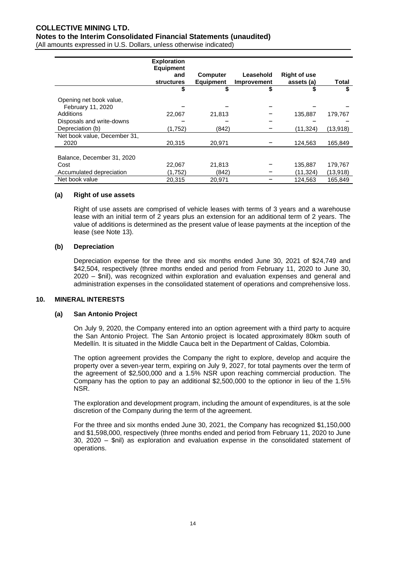# **COLLECTIVE MINING LTD. Notes to the Interim Consolidated Financial Statements (unaudited)** (All amounts expressed in U.S. Dollars, unless otherwise indicated)

|                              | <b>Exploration</b><br><b>Equipment</b> |                  |             |                     |              |
|------------------------------|----------------------------------------|------------------|-------------|---------------------|--------------|
|                              | and                                    | <b>Computer</b>  | Leasehold   | <b>Right of use</b> |              |
|                              | <b>structures</b>                      | <b>Equipment</b> | Improvement | assets (a)          | <b>Total</b> |
|                              | \$                                     |                  | \$          |                     | \$           |
| Opening net book value,      |                                        |                  |             |                     |              |
| February 11, 2020            |                                        |                  |             |                     |              |
| Additions                    | 22,067                                 | 21.813           |             | 135.887             | 179.767      |
| Disposals and write-downs    |                                        |                  |             |                     |              |
| Depreciation (b)             | (1,752)                                | (842)            |             | (11,324)            | (13,918)     |
| Net book value, December 31, |                                        |                  |             |                     |              |
| 2020                         | 20,315                                 | 20,971           |             | 124,563             | 165,849      |
|                              |                                        |                  |             |                     |              |
| Balance, December 31, 2020   |                                        |                  |             |                     |              |
| Cost                         | 22,067                                 | 21,813           |             | 135.887             | 179,767      |
| Accumulated depreciation     | (1,752)                                | (842)            |             | (11,324)            | (13,918)     |
| Net book value               | 20,315                                 | 20,971           |             | 124,563             | 165,849      |

#### **(a) Right of use assets**

Right of use assets are comprised of vehicle leases with terms of 3 years and a warehouse lease with an initial term of 2 years plus an extension for an additional term of 2 years. The value of additions is determined as the present value of lease payments at the inception of the lease (see Note 13).

#### **(b) Depreciation**

Depreciation expense for the three and six months ended June 30, 2021 of \$24,749 and \$42,504, respectively (three months ended and period from February 11, 2020 to June 30, 2020 – \$nil), was recognized within exploration and evaluation expenses and general and administration expenses in the consolidated statement of operations and comprehensive loss.

#### **10. MINERAL INTERESTS**

#### **(a) San Antonio Project**

On July 9, 2020, the Company entered into an option agreement with a third party to acquire the San Antonio Project. The San Antonio project is located approximately 80km south of Medellín. It is situated in the Middle Cauca belt in the Department of Caldas, Colombia.

The option agreement provides the Company the right to explore, develop and acquire the property over a seven-year term, expiring on July 9, 2027, for total payments over the term of the agreement of \$2,500,000 and a 1.5% NSR upon reaching commercial production. The Company has the option to pay an additional \$2,500,000 to the optionor in lieu of the 1.5% NSR.

The exploration and development program, including the amount of expenditures, is at the sole discretion of the Company during the term of the agreement.

For the three and six months ended June 30, 2021, the Company has recognized \$1,150,000 and \$1,598,000, respectively (three months ended and period from February 11, 2020 to June 30, 2020 – \$nil) as exploration and evaluation expense in the consolidated statement of operations.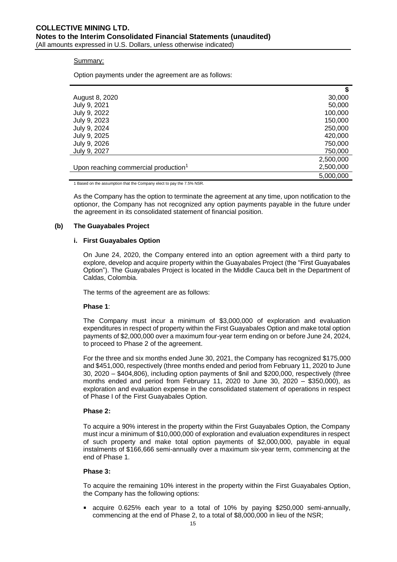#### Summary:

Option payments under the agreement are as follows:

|                                                  | \$        |
|--------------------------------------------------|-----------|
| August 8, 2020                                   | 30,000    |
| July 9, 2021                                     | 50,000    |
| July 9, 2022                                     | 100,000   |
| July 9, 2023                                     | 150,000   |
| July 9, 2024                                     | 250,000   |
| July 9, 2025                                     | 420,000   |
| July 9, 2026                                     | 750,000   |
| July 9, 2027                                     | 750,000   |
|                                                  | 2,500,000 |
| Upon reaching commercial production <sup>1</sup> | 2,500,000 |
|                                                  | 5,000,000 |

1 Based on the assumption that the Company elect to pay the 7.5% NSR.

As the Company has the option to terminate the agreement at any time, upon notification to the optionor, the Company has not recognized any option payments payable in the future under the agreement in its consolidated statement of financial position.

#### **(b) The Guayabales Project**

#### **i. First Guayabales Option**

On June 24, 2020, the Company entered into an option agreement with a third party to explore, develop and acquire property within the Guayabales Project (the "First Guayabales Option"). The Guayabales Project is located in the Middle Cauca belt in the Department of Caldas, Colombia.

The terms of the agreement are as follows:

#### **Phase 1**:

The Company must incur a minimum of \$3,000,000 of exploration and evaluation expenditures in respect of property within the First Guayabales Option and make total option payments of \$2,000,000 over a maximum four-year term ending on or before June 24, 2024, to proceed to Phase 2 of the agreement.

For the three and six months ended June 30, 2021, the Company has recognized \$175,000 and \$451,000, respectively (three months ended and period from February 11, 2020 to June 30, 2020 – \$404,806), including option payments of \$nil and \$200,000, respectively (three months ended and period from February 11, 2020 to June 30, 2020 – \$350,000), as exploration and evaluation expense in the consolidated statement of operations in respect of Phase I of the First Guayabales Option.

#### **Phase 2:**

To acquire a 90% interest in the property within the First Guayabales Option, the Company must incur a minimum of \$10,000,000 of exploration and evaluation expenditures in respect of such property and make total option payments of \$2,000,000, payable in equal instalments of \$166,666 semi-annually over a maximum six-year term, commencing at the end of Phase 1.

#### **Phase 3:**

To acquire the remaining 10% interest in the property within the First Guayabales Option, the Company has the following options:

acquire 0.625% each year to a total of 10% by paying \$250,000 semi-annually, commencing at the end of Phase 2, to a total of \$8,000,000 in lieu of the NSR;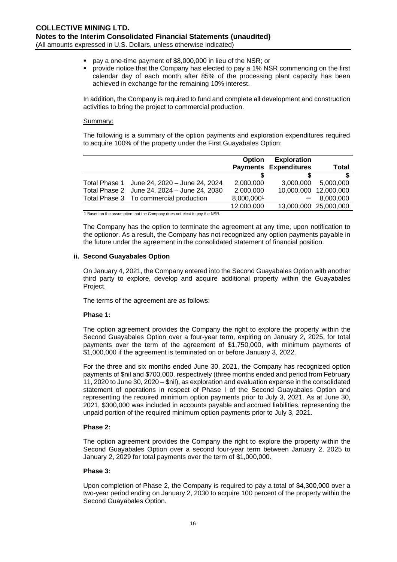- pay a one-time payment of \$8,000,000 in lieu of the NSR; or
- provide notice that the Company has elected to pay a 1% NSR commencing on the first  $\blacksquare$ calendar day of each month after 85% of the processing plant capacity has been achieved in exchange for the remaining 10% interest.

In addition, the Company is required to fund and complete all development and construction activities to bring the project to commercial production.

#### Summary:

The following is a summary of the option payments and exploration expenditures required to acquire 100% of the property under the First Guayabales Option:

|                                             | <b>Option</b> | <b>Exploration</b>           |                       |
|---------------------------------------------|---------------|------------------------------|-----------------------|
|                                             |               | <b>Payments Expenditures</b> | <b>Total</b>          |
|                                             |               |                              |                       |
| Total Phase 1 June 24, 2020 - June 24, 2024 | 2,000,000     | 3.000.000                    | 5,000,000             |
| Total Phase 2 June 24, 2024 - June 24, 2030 | 2,000,000     |                              | 10,000,000 12,000,000 |
| Total Phase 3 To commercial production      | 8,000,0001    |                              | 8.000.000             |
|                                             | 12.000.000    |                              | 13,000,000 25,000,000 |

1 Based on the assumption that the Company does not elect to pay the NSR.

The Company has the option to terminate the agreement at any time, upon notification to the optionor. As a result, the Company has not recognized any option payments payable in the future under the agreement in the consolidated statement of financial position.

### **ii. Second Guayabales Option**

On January 4, 2021, the Company entered into the Second Guayabales Option with another third party to explore, develop and acquire additional property within the Guayabales Project.

The terms of the agreement are as follows:

# **Phase 1:**

The option agreement provides the Company the right to explore the property within the Second Guayabales Option over a four-year term, expiring on January 2, 2025, for total payments over the term of the agreement of \$1,750,000, with minimum payments of \$1,000,000 if the agreement is terminated on or before January 3, 2022.

For the three and six months ended June 30, 2021, the Company has recognized option payments of \$nil and \$700,000, respectively (three months ended and period from February 11, 2020 to June 30, 2020 – \$nil), as exploration and evaluation expense in the consolidated statement of operations in respect of Phase I of the Second Guayabales Option and representing the required minimum option payments prior to July 3, 2021. As at June 30, 2021, \$300,000 was included in accounts payable and accrued liabilities, representing the unpaid portion of the required minimum option payments prior to July 3, 2021.

#### **Phase 2:**

The option agreement provides the Company the right to explore the property within the Second Guayabales Option over a second four-year term between January 2, 2025 to January 2, 2029 for total payments over the term of \$1,000,000.

# **Phase 3:**

Upon completion of Phase 2, the Company is required to pay a total of \$4,300,000 over a two-year period ending on January 2, 2030 to acquire 100 percent of the property within the Second Guayabales Option.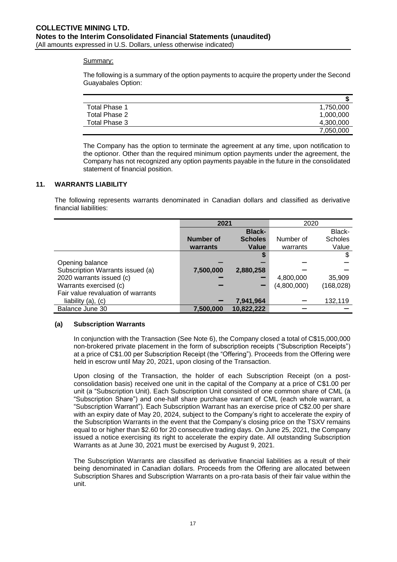### Summary:

The following is a summary of the option payments to acquire the property under the Second Guayabales Option:

| Total Phase 1 | 1,750,000 |
|---------------|-----------|
| Total Phase 2 | 1,000,000 |
| Total Phase 3 | 4,300,000 |
|               | 7,050,000 |

The Company has the option to terminate the agreement at any time, upon notification to the optionor. Other than the required minimum option payments under the agreement, the Company has not recognized any option payments payable in the future in the consolidated statement of financial position.

# **11. WARRANTS LIABILITY**

The following represents warrants denominated in Canadian dollars and classified as derivative financial liabilities:

|                                    | 2021      |                | 2020        |                |
|------------------------------------|-----------|----------------|-------------|----------------|
|                                    |           | <b>Black-</b>  |             | Black-         |
|                                    | Number of | <b>Scholes</b> | Number of   | <b>Scholes</b> |
|                                    | warrants  | Value          | warrants    | Value          |
|                                    |           |                |             | \$             |
| Opening balance                    |           |                |             |                |
| Subscription Warrants issued (a)   | 7,500,000 | 2,880,258      |             |                |
| 2020 warrants issued (c)           |           |                | 4,800,000   | 35,909         |
| Warrants exercised (c)             |           | -              | (4,800,000) | (168, 028)     |
| Fair value revaluation of warrants |           |                |             |                |
| liability $(a)$ , $(c)$            |           | 7,941,964      |             | 132,119        |
| Balance June 30                    | 7,500,000 | 10,822,222     |             |                |

# **(a) Subscription Warrants**

In conjunction with the Transaction (See Note 6), the Company closed a total of C\$15,000,000 non-brokered private placement in the form of subscription receipts ("Subscription Receipts") at a price of C\$1.00 per Subscription Receipt (the "Offering"). Proceeds from the Offering were held in escrow until May 20, 2021, upon closing of the Transaction.

Upon closing of the Transaction, the holder of each Subscription Receipt (on a postconsolidation basis) received one unit in the capital of the Company at a price of C\$1.00 per unit (a "Subscription Unit). Each Subscription Unit consisted of one common share of CML (a "Subscription Share") and one-half share purchase warrant of CML (each whole warrant, a "Subscription Warrant"). Each Subscription Warrant has an exercise price of C\$2.00 per share with an expiry date of May 20, 2024, subject to the Company's right to accelerate the expiry of the Subscription Warrants in the event that the Company's closing price on the TSXV remains equal to or higher than \$2.60 for 20 consecutive trading days. On June 25, 2021, the Company issued a notice exercising its right to accelerate the expiry date. All outstanding Subscription Warrants as at June 30, 2021 must be exercised by August 9, 2021.

The Subscription Warrants are classified as derivative financial liabilities as a result of their being denominated in Canadian dollars. Proceeds from the Offering are allocated between Subscription Shares and Subscription Warrants on a pro-rata basis of their fair value within the unit.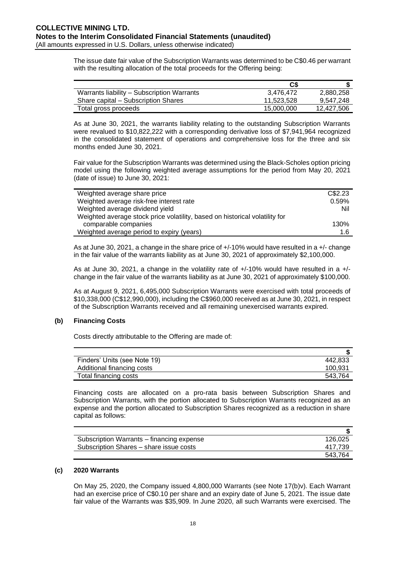The issue date fair value of the Subscription Warrants was determined to be C\$0.46 per warrant with the resulting allocation of the total proceeds for the Offering being:

|                                            | C\$        |            |
|--------------------------------------------|------------|------------|
| Warrants liability – Subscription Warrants | 3.476.472  | 2,880,258  |
| Share capital – Subscription Shares        | 11.523.528 | 9,547,248  |
| Total gross proceeds                       | 15,000,000 | 12,427,506 |

As at June 30, 2021, the warrants liability relating to the outstanding Subscription Warrants were revalued to \$10,822,222 with a corresponding derivative loss of \$7,941,964 recognized in the consolidated statement of operations and comprehensive loss for the three and six months ended June 30, 2021.

Fair value for the Subscription Warrants was determined using the Black-Scholes option pricing model using the following weighted average assumptions for the period from May 20, 2021 (date of issue) to June 30, 2021:

| Weighted average share price                                                | C\$2.23 |
|-----------------------------------------------------------------------------|---------|
| Weighted average risk-free interest rate                                    | 0.59%   |
| Weighted average dividend yield                                             | Nil     |
| Weighted average stock price volatility, based on historical volatility for |         |
| comparable companies                                                        | 130%    |
| Weighted average period to expiry (years)                                   | 1 6     |
|                                                                             |         |

As at June 30, 2021, a change in the share price of +/-10% would have resulted in a +/- change in the fair value of the warrants liability as at June 30, 2021 of approximately \$2,100,000.

As at June 30, 2021, a change in the volatility rate of  $+/10\%$  would have resulted in a  $+/$ change in the fair value of the warrants liability as at June 30, 2021 of approximately \$100,000.

As at August 9, 2021, 6,495,000 Subscription Warrants were exercised with total proceeds of \$10,338,000 (C\$12,990,000), including the C\$960,000 received as at June 30, 2021, in respect of the Subscription Warrants received and all remaining unexercised warrants expired.

# **(b) Financing Costs**

Costs directly attributable to the Offering are made of:

| Finders' Units (see Note 19) | 442.833 |
|------------------------------|---------|
| Additional financing costs   | 100,931 |
| Total financing costs        | 543.764 |

Financing costs are allocated on a pro-rata basis between Subscription Shares and Subscription Warrants, with the portion allocated to Subscription Warrants recognized as an expense and the portion allocated to Subscription Shares recognized as a reduction in share capital as follows:

| Subscription Warrants – financing expense | 126.025 |
|-------------------------------------------|---------|
| Subscription Shares – share issue costs   | 417.739 |
|                                           | 543.764 |

# **(c) 2020 Warrants**

On May 25, 2020, the Company issued 4,800,000 Warrants (see Note 17(b)v). Each Warrant had an exercise price of C\$0.10 per share and an expiry date of June 5, 2021. The issue date fair value of the Warrants was \$35,909. In June 2020, all such Warrants were exercised. The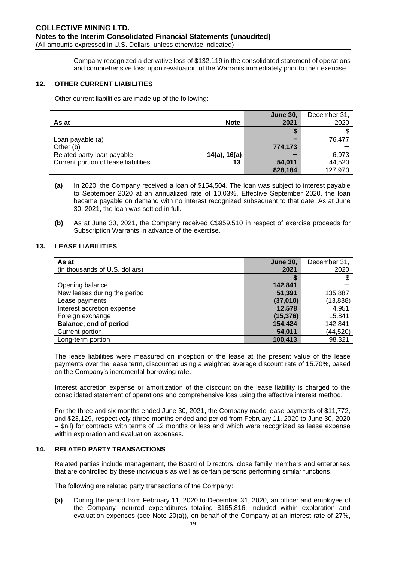Company recognized a derivative loss of \$132,119 in the consolidated statement of operations and comprehensive loss upon revaluation of the Warrants immediately prior to their exercise.

# **12. OTHER CURRENT LIABILITIES**

Other current liabilities are made up of the following:

|                                      |              | <b>June 30,</b> | December 31, |
|--------------------------------------|--------------|-----------------|--------------|
| As at                                | <b>Note</b>  | 2021            | 2020         |
|                                      |              |                 |              |
| Loan payable (a)                     |              | -               | 76.477       |
| Other (b)                            |              | 774,173         |              |
| Related party loan payable           | 14(a), 16(a) |                 | 6,973        |
| Current portion of lease liabilities | 13           | 54,011          | 44,520       |
|                                      |              | 828,184         | 127,970      |

**(a)** In 2020, the Company received a loan of \$154,504. The loan was subject to interest payable to September 2020 at an annualized rate of 10.03%. Effective September 2020, the loan became payable on demand with no interest recognized subsequent to that date. As at June 30, 2021, the loan was settled in full.

**(b)** As at June 30, 2021, the Company received C\$959,510 in respect of exercise proceeds for Subscription Warrants in advance of the exercise.

# **13. LEASE LIABILITIES**

| As at                          | <b>June 30,</b> | December 31, |
|--------------------------------|-----------------|--------------|
| (in thousands of U.S. dollars) | 2021            | 2020         |
|                                |                 |              |
| Opening balance                | 142,841         |              |
| New leases during the period   | 51,391          | 135,887      |
| Lease payments                 | (37,010)        | (13, 838)    |
| Interest accretion expense     | 12,578          | 4,951        |
| Foreign exchange               | (15, 376)       | 15,841       |
| Balance, end of period         | 154,424         | 142,841      |
| Current portion                | 54,011          | (44, 520)    |
| Long-term portion              | 100,413         | 98,321       |

The lease liabilities were measured on inception of the lease at the present value of the lease payments over the lease term, discounted using a weighted average discount rate of 15.70%, based on the Company's incremental borrowing rate.

Interest accretion expense or amortization of the discount on the lease liability is charged to the consolidated statement of operations and comprehensive loss using the effective interest method.

For the three and six months ended June 30, 2021, the Company made lease payments of \$11,772, and \$23,129, respectively (three months ended and period from February 11, 2020 to June 30, 2020 – \$nil) for contracts with terms of 12 months or less and which were recognized as lease expense within exploration and evaluation expenses.

# **14. RELATED PARTY TRANSACTIONS**

Related parties include management, the Board of Directors, close family members and enterprises that are controlled by these individuals as well as certain persons performing similar functions.

The following are related party transactions of the Company:

**(a)** During the period from February 11, 2020 to December 31, 2020, an officer and employee of the Company incurred expenditures totaling \$165,816, included within exploration and evaluation expenses (see Note 20(a)), on behalf of the Company at an interest rate of 27%,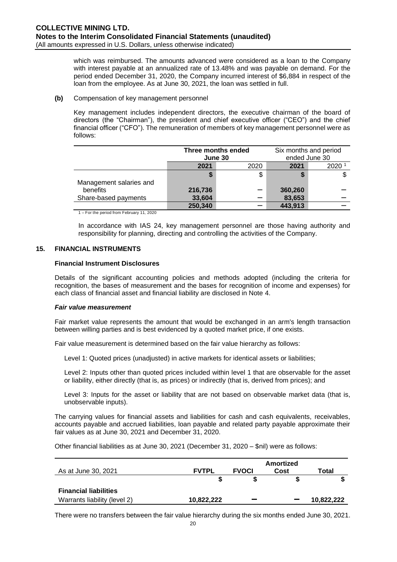which was reimbursed. The amounts advanced were considered as a loan to the Company with interest payable at an annualized rate of 13.48% and was payable on demand. For the period ended December 31, 2020, the Company incurred interest of \$6,884 in respect of the loan from the employee. As at June 30, 2021, the loan was settled in full.

#### **(b)** Compensation of key management personnel

Key management includes independent directors, the executive chairman of the board of directors (the "Chairman"), the president and chief executive officer ("CEO") and the chief financial officer ("CFO"). The remuneration of members of key management personnel were as follows:

|                         | Three months ended<br>June 30 |      | Six months and period<br>ended June 30 |                |
|-------------------------|-------------------------------|------|----------------------------------------|----------------|
|                         | 2021                          | 2020 | 2021                                   | $2020^{\circ}$ |
| Management salaries and |                               | \$   | S                                      |                |
| benefits                | 216,736                       |      | 360,260                                |                |
| Share-based payments    | 33,604                        |      | 83,653                                 |                |
|                         | 250,340                       |      | 443,913                                |                |

1 – For the period from February 11, 2020

In accordance with IAS 24, key management personnel are those having authority and responsibility for planning, directing and controlling the activities of the Company.

## **15. FINANCIAL INSTRUMENTS**

#### **Financial Instrument Disclosures**

Details of the significant accounting policies and methods adopted (including the criteria for recognition, the bases of measurement and the bases for recognition of income and expenses) for each class of financial asset and financial liability are disclosed in Note 4.

#### *Fair value measurement*

Fair market value represents the amount that would be exchanged in an arm's length transaction between willing parties and is best evidenced by a quoted market price, if one exists.

Fair value measurement is determined based on the fair value hierarchy as follows:

Level 1: Quoted prices (unadjusted) in active markets for identical assets or liabilities;

Level 2: Inputs other than quoted prices included within level 1 that are observable for the asset or liability, either directly (that is, as prices) or indirectly (that is, derived from prices); and

Level 3: Inputs for the asset or liability that are not based on observable market data (that is, unobservable inputs).

The carrying values for financial assets and liabilities for cash and cash equivalents, receivables, accounts payable and accrued liabilities, loan payable and related party payable approximate their fair values as at June 30, 2021 and December 31, 2020.

Other financial liabilities as at June 30, 2021 (December 31, 2020 – \$nil) were as follows:

|                              |              |              | <b>Amortized</b> |            |
|------------------------------|--------------|--------------|------------------|------------|
| As at June 30, 2021          | <b>FVTPL</b> | <b>FVOCI</b> | Cost             | Total      |
|                              |              |              |                  |            |
| <b>Financial liabilities</b> |              |              |                  |            |
| Warrants liability (level 2) | 10.822.222   |              |                  | 10.822.222 |

There were no transfers between the fair value hierarchy during the six months ended June 30, 2021.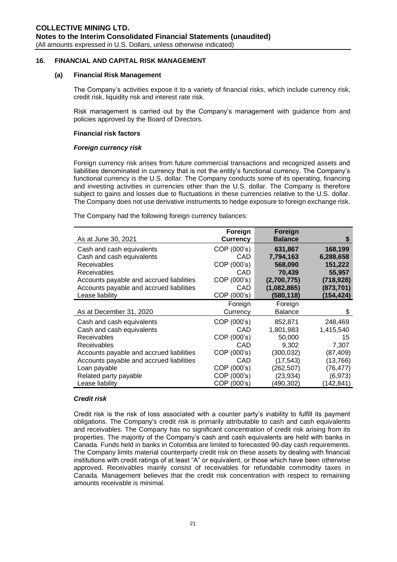#### **16. FINANCIAL AND CAPITAL RISK MANAGEMENT**

### **(a) Financial Risk Management**

The Company's activities expose it to a variety of financial risks, which include currency risk, credit risk, liquidity risk and interest rate risk.

Risk management is carried out by the Company's management with guidance from and policies approved by the Board of Directors.

### **Financial risk factors**

### *Foreign currency risk*

Foreign currency risk arises from future commercial transactions and recognized assets and liabilities denominated in currency that is not the entity's functional currency. The Company's functional currency is the U.S. dollar. The Company conducts some of its operating, financing and investing activities in currencies other than the U.S. dollar. The Company is therefore subject to gains and losses due to fluctuations in these currencies relative to the U.S. dollar. The Company does not use derivative instruments to hedge exposure to foreign exchange risk.

The Company had the following foreign currency balances:

| As at June 30, 2021                      | Foreign<br><b>Currency</b> | Foreign<br><b>Balance</b> |            |
|------------------------------------------|----------------------------|---------------------------|------------|
| Cash and cash equivalents                | COP (000's)                | 631,867                   | 168,199    |
| Cash and cash equivalents                | CAD                        | 7,794,163                 | 6,288,658  |
| <b>Receivables</b>                       | COP (000's)                | 568,090                   | 151,222    |
| <b>Receivables</b>                       | CAD                        | 70,439                    | 55,957     |
| Accounts payable and accrued liabilities | COP (000's)                | (2,700,775)               | (718, 928) |
| Accounts payable and accrued liabilities | CAD                        | (1,082,865)               | (873, 701) |
| Lease liability                          | COP (000's)                | (580, 118)                | (154, 424) |
|                                          | Foreign                    | Foreign                   |            |
| As at December 31, 2020                  | Currency                   | <b>Balance</b>            | S          |
| Cash and cash equivalents                | COP (000's)                | 852,871                   | 248,469    |
| Cash and cash equivalents                | CAD                        | 1,801,983                 | 1,415,540  |
| Receivables                              | COP (000's)                | 50,000                    | 15         |
| Receivables                              | CAD                        | 9,302                     | 7,307      |
| Accounts payable and accrued liabilities | COP (000's)                | (300, 032)                | (87,409)   |
| Accounts payable and accrued liabilities | CAD                        | (17, 543)                 | (13,766)   |
| Loan payable                             | COP (000's)                | (262, 507)                | (76,477)   |
| Related party payable                    | COP (000's)                | (23, 934)                 | (6,973)    |
| Lease liability                          | COP (000's)                | (490,302)                 | (142, 841) |

#### *Credit risk*

Credit risk is the risk of loss associated with a counter party's inability to fulfill its payment obligations. The Company's credit risk is primarily attributable to cash and cash equivalents and receivables. The Company has no significant concentration of credit risk arising from its properties. The majority of the Company's cash and cash equivalents are held with banks in Canada. Funds held in banks in Colombia are limited to forecasted 90-day cash requirements. The Company limits material counterparty credit risk on these assets by dealing with financial institutions with credit ratings of at least "A" or equivalent, or those which have been otherwise approved. Receivables mainly consist of receivables for refundable commodity taxes in Canada. Management believes that the credit risk concentration with respect to remaining amounts receivable is minimal.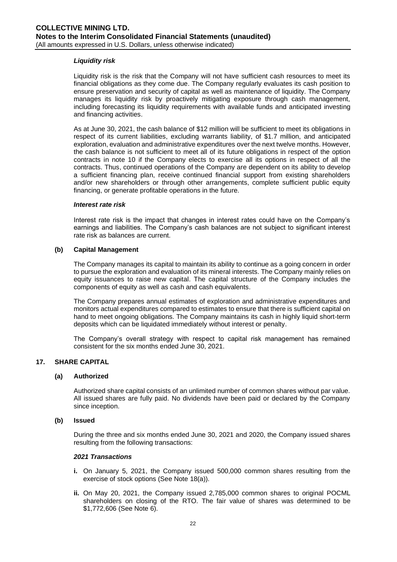# *Liquidity risk*

Liquidity risk is the risk that the Company will not have sufficient cash resources to meet its financial obligations as they come due. The Company regularly evaluates its cash position to ensure preservation and security of capital as well as maintenance of liquidity. The Company manages its liquidity risk by proactively mitigating exposure through cash management, including forecasting its liquidity requirements with available funds and anticipated investing and financing activities.

As at June 30, 2021, the cash balance of \$12 million will be sufficient to meet its obligations in respect of its current liabilities, excluding warrants liability, of \$1.7 million, and anticipated exploration, evaluation and administrative expenditures over the next twelve months. However, the cash balance is not sufficient to meet all of its future obligations in respect of the option contracts in note 10 if the Company elects to exercise all its options in respect of all the contracts. Thus, continued operations of the Company are dependent on its ability to develop a sufficient financing plan, receive continued financial support from existing shareholders and/or new shareholders or through other arrangements, complete sufficient public equity financing, or generate profitable operations in the future.

#### *Interest rate risk*

Interest rate risk is the impact that changes in interest rates could have on the Company's earnings and liabilities. The Company's cash balances are not subject to significant interest rate risk as balances are current.

### **(b) Capital Management**

The Company manages its capital to maintain its ability to continue as a going concern in order to pursue the exploration and evaluation of its mineral interests. The Company mainly relies on equity issuances to raise new capital. The capital structure of the Company includes the components of equity as well as cash and cash equivalents.

The Company prepares annual estimates of exploration and administrative expenditures and monitors actual expenditures compared to estimates to ensure that there is sufficient capital on hand to meet ongoing obligations. The Company maintains its cash in highly liquid short-term deposits which can be liquidated immediately without interest or penalty.

The Company's overall strategy with respect to capital risk management has remained consistent for the six months ended June 30, 2021.

# **17. SHARE CAPITAL**

# **(a) Authorized**

Authorized share capital consists of an unlimited number of common shares without par value. All issued shares are fully paid. No dividends have been paid or declared by the Company since inception.

#### **(b) Issued**

During the three and six months ended June 30, 2021 and 2020, the Company issued shares resulting from the following transactions:

#### *2021 Transactions*

- **i.** On January 5, 2021, the Company issued 500,000 common shares resulting from the exercise of stock options (See Note 18(a)).
- **ii.** On May 20, 2021, the Company issued 2,785,000 common shares to original POCML shareholders on closing of the RTO. The fair value of shares was determined to be \$1,772,606 (See Note 6).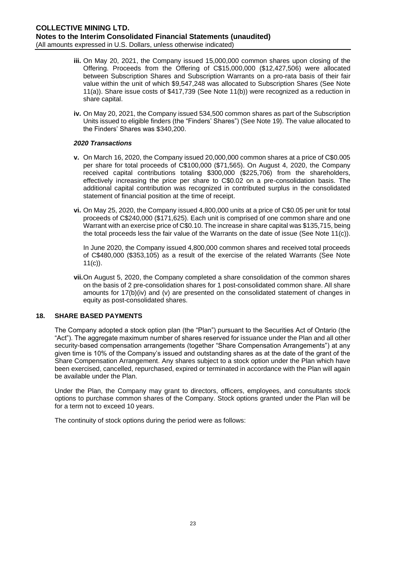- **iii.** On May 20, 2021, the Company issued 15,000,000 common shares upon closing of the Offering. Proceeds from the Offering of C\$15,000,000 (\$12,427,506) were allocated between Subscription Shares and Subscription Warrants on a pro-rata basis of their fair value within the unit of which \$9,547,248 was allocated to Subscription Shares (See Note 11(a)). Share issue costs of \$417,739 (See Note 11(b)) were recognized as a reduction in share capital.
- **iv.** On May 20, 2021, the Company issued 534,500 common shares as part of the Subscription Units issued to eligible finders (the "Finders' Shares") (See Note 19). The value allocated to the Finders' Shares was \$340,200.

# *2020 Transactions*

- **v.** On March 16, 2020, the Company issued 20,000,000 common shares at a price of C\$0.005 per share for total proceeds of C\$100,000 (\$71,565). On August 4, 2020, the Company received capital contributions totaling \$300,000 (\$225,706) from the shareholders, effectively increasing the price per share to C\$0.02 on a pre-consolidation basis. The additional capital contribution was recognized in contributed surplus in the consolidated statement of financial position at the time of receipt.
- **vi.** On May 25, 2020, the Company issued 4,800,000 units at a price of C\$0.05 per unit for total proceeds of C\$240,000 (\$171,625). Each unit is comprised of one common share and one Warrant with an exercise price of C\$0.10. The increase in share capital was \$135,715, being the total proceeds less the fair value of the Warrants on the date of issue (See Note 11(c)).

In June 2020, the Company issued 4,800,000 common shares and received total proceeds of C\$480,000 (\$353,105) as a result of the exercise of the related Warrants (See Note 11(c)).

**vii.**On August 5, 2020, the Company completed a share consolidation of the common shares on the basis of 2 pre-consolidation shares for 1 post-consolidated common share. All share amounts for 17(b)(iv) and (v) are presented on the consolidated statement of changes in equity as post-consolidated shares.

# **18. SHARE BASED PAYMENTS**

The Company adopted a stock option plan (the "Plan") pursuant to the Securities Act of Ontario (the "Act"). The aggregate maximum number of shares reserved for issuance under the Plan and all other security-based compensation arrangements (together "Share Compensation Arrangements") at any given time is 10% of the Company's issued and outstanding shares as at the date of the grant of the Share Compensation Arrangement. Any shares subject to a stock option under the Plan which have been exercised, cancelled, repurchased, expired or terminated in accordance with the Plan will again be available under the Plan.

Under the Plan, the Company may grant to directors, officers, employees, and consultants stock options to purchase common shares of the Company. Stock options granted under the Plan will be for a term not to exceed 10 years.

The continuity of stock options during the period were as follows: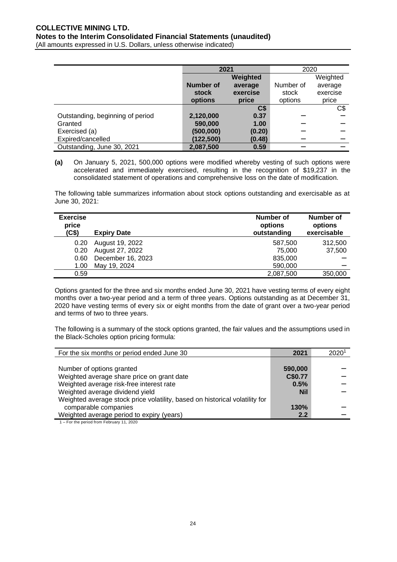|                                  | 2021      |                | 2020      |          |
|----------------------------------|-----------|----------------|-----------|----------|
|                                  |           | Weighted       |           | Weighted |
|                                  | Number of | average        | Number of | average  |
|                                  | stock     | exercise       | stock     | exercise |
|                                  | options   | price          | options   | price    |
|                                  |           | C <sub>3</sub> |           | C\$      |
| Outstanding, beginning of period | 2,120,000 | 0.37           |           |          |
| Granted                          | 590,000   | 1.00           |           |          |
| Exercised (a)                    | (500,000) | (0.20)         |           |          |
| Expired/cancelled                | (122,500) | (0.48)         |           |          |
| Outstanding, June 30, 2021       | 2.087.500 | 0.59           |           |          |

**(a)** On January 5, 2021, 500,000 options were modified whereby vesting of such options were accelerated and immediately exercised, resulting in the recognition of \$19,237 in the consolidated statement of operations and comprehensive loss on the date of modification.

The following table summarizes information about stock options outstanding and exercisable as at June 30, 2021:

| <b>Exercise</b><br>price<br>(C\$) | <b>Expiry Date</b> | Number of<br>options<br>outstanding | Number of<br>options<br>exercisable |
|-----------------------------------|--------------------|-------------------------------------|-------------------------------------|
| 0.20                              | August 19, 2022    | 587,500                             | 312,500                             |
| 0.20                              | August 27, 2022    | 75,000                              | 37,500                              |
| 0.60                              | December 16, 2023  | 835,000                             |                                     |
| 1.00                              | May 19, 2024       | 590,000                             |                                     |
| 0.59                              |                    | 2,087,500                           | 350,000                             |

Options granted for the three and six months ended June 30, 2021 have vesting terms of every eight months over a two-year period and a term of three years. Options outstanding as at December 31, 2020 have vesting terms of every six or eight months from the date of grant over a two-year period and terms of two to three years.

The following is a summary of the stock options granted, the fair values and the assumptions used in the Black-Scholes option pricing formula:

| For the six months or period ended June 30                                  | 2021       | 2020 |
|-----------------------------------------------------------------------------|------------|------|
|                                                                             |            |      |
| Number of options granted                                                   | 590,000    |      |
| Weighted average share price on grant date                                  | C\$0.77    |      |
| Weighted average risk-free interest rate                                    | 0.5%       |      |
| Weighted average dividend yield                                             | <b>Nil</b> |      |
| Weighted average stock price volatility, based on historical volatility for |            |      |
| comparable companies                                                        | 130%       |      |
| Weighted average period to expiry (years)                                   | 2.2        |      |

1 – For the period from February 11, 2020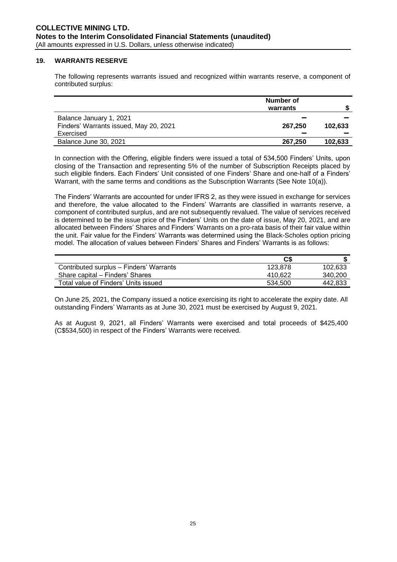### **19. WARRANTS RESERVE**

The following represents warrants issued and recognized within warrants reserve, a component of contributed surplus:

|                                                                   | Number of<br>warrants |         |
|-------------------------------------------------------------------|-----------------------|---------|
| Balance January 1, 2021<br>Finders' Warrants issued, May 20, 2021 | 267.250               | 102.633 |
| Exercised                                                         |                       |         |
| Balance June 30, 2021                                             | 267.250               | 102,633 |

In connection with the Offering, eligible finders were issued a total of 534,500 Finders' Units, upon closing of the Transaction and representing 5% of the number of Subscription Receipts placed by such eligible finders. Each Finders' Unit consisted of one Finders' Share and one-half of a Finders' Warrant, with the same terms and conditions as the Subscription Warrants (See Note 10(a)).

The Finders' Warrants are accounted for under IFRS 2, as they were issued in exchange for services and therefore, the value allocated to the Finders' Warrants are classified in warrants reserve, a component of contributed surplus, and are not subsequently revalued. The value of services received is determined to be the issue price of the Finders' Units on the date of issue, May 20, 2021, and are allocated between Finders' Shares and Finders' Warrants on a pro-rata basis of their fair value within the unit. Fair value for the Finders' Warrants was determined using the Black-Scholes option pricing model. The allocation of values between Finders' Shares and Finders' Warrants is as follows:

|                                         | C\$     |         |
|-----------------------------------------|---------|---------|
| Contributed surplus - Finders' Warrants | 123.878 | 102.633 |
| Share capital – Finders' Shares         | 410.622 | 340,200 |
| Total value of Finders' Units issued    | 534.500 | 442,833 |

On June 25, 2021, the Company issued a notice exercising its right to accelerate the expiry date. All outstanding Finders' Warrants as at June 30, 2021 must be exercised by August 9, 2021.

As at August 9, 2021, all Finders' Warrants were exercised and total proceeds of \$425,400 (C\$534,500) in respect of the Finders' Warrants were received.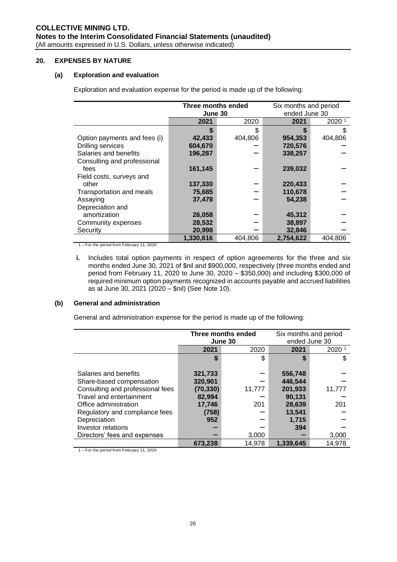# **20. EXPENSES BY NATURE**

# **(a) Exploration and evaluation**

Exploration and evaluation expense for the period is made up of the following:

|                              | Three months ended |         |               | Six months and period |  |
|------------------------------|--------------------|---------|---------------|-----------------------|--|
|                              | June 30            |         | ended June 30 |                       |  |
|                              | 2021               | 2020    | 2021          | 2020 1                |  |
|                              |                    |         |               |                       |  |
| Option payments and fees (i) | 42,433             | 404,806 | 954,353       | 404,806               |  |
| <b>Drilling services</b>     | 604,670            |         | 720,576       |                       |  |
| Salaries and benefits        | 196,287            |         | 338,257       |                       |  |
| Consulting and professional  |                    |         |               |                       |  |
| fees                         | 161,145            |         | 239,032       |                       |  |
| Field costs, surveys and     |                    |         |               |                       |  |
| other                        | 137,330            |         | 220,433       |                       |  |
| Transportation and meals     | 75,685             |         | 110,678       |                       |  |
| Assaying                     | 37,478             |         | 54,238        |                       |  |
| Depreciation and             |                    |         |               |                       |  |
| amortization                 | 26,058             |         | 45,312        |                       |  |
| Community expenses           | 28,532             |         | 38,897        |                       |  |
| Security                     | 20,998             |         | 32,846        |                       |  |
|                              | 1,330,616          | 404,806 | 2,754,622     | 404,806               |  |

1 – For the period from February 11, 2020

**i.** Includes total option payments in respect of option agreements for the three and six months ended June 30, 2021 of \$nil and \$900,000, respectively (three months ended and period from February 11, 2020 to June 30, 2020 – \$350,000) and including \$300,000 of required minimum option payments recognized in accounts payable and accrued liabilities as at June 30, 2021 (2020 – \$nil) (See Note 10).

## **(b) General and administration**

General and administration expense for the period is made up of the following:

|                                  |           | Three months ended | Six months and period |        |
|----------------------------------|-----------|--------------------|-----------------------|--------|
|                                  | June 30   |                    | ended June 30         |        |
|                                  | 2021      | 2020               | 2021                  | 2020 1 |
|                                  | \$        |                    |                       | S      |
|                                  |           |                    |                       |        |
| Salaries and benefits            | 321,733   |                    | 556,748               |        |
| Share-based compensation         | 320,901   |                    | 446,544               |        |
| Consulting and professional fees | (70, 330) | 11,777             | 201,933               | 11,777 |
| Travel and entertainment         | 82,994    |                    | 90.131                |        |
| Office administration            | 17,746    | 201                | 28.639                | 201    |
| Regulatory and compliance fees   | (758)     |                    | 13,541                |        |
| Depreciation                     | 952       |                    | 1,715                 |        |
| Investor relations               |           |                    | 394                   |        |
| Directors' fees and expenses     |           | 3,000              |                       | 3,000  |
|                                  | 673,238   | 14,978             | 1,339,645             | 14,978 |

1 – For the period from February 11, 2020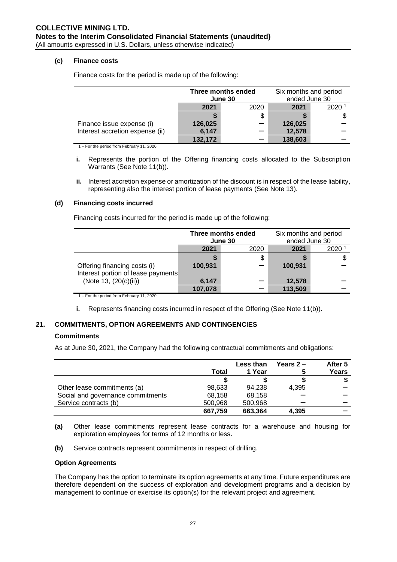## **(c) Finance costs**

|                                 | Three months ended |  | Six months and period |        |
|---------------------------------|--------------------|--|-----------------------|--------|
|                                 | June 30            |  | ended June 30         |        |
|                                 | 2021<br>2020       |  | 2021                  | 2020 1 |
|                                 |                    |  |                       |        |
| Finance issue expense (i)       | 126,025            |  | 126,025               |        |
| Interest accretion expense (ii) | 6,147              |  | 12,578                |        |
|                                 | 132,172            |  | 138,603               |        |

Finance costs for the period is made up of the following:

1 – For the period from February 11, 2020

- **i.** Represents the portion of the Offering financing costs allocated to the Subscription Warrants (See Note 11(b)).
- **ii.** Interest accretion expense or amortization of the discount is in respect of the lease liability, representing also the interest portion of lease payments (See Note 13).

### **(d) Financing costs incurred**

Financing costs incurred for the period is made up of the following:

|                                                                    | Three months ended<br>June 30 |  | Six months and period<br>ended June 30 |      |
|--------------------------------------------------------------------|-------------------------------|--|----------------------------------------|------|
|                                                                    | 2021<br>2020                  |  | 2021                                   | 2020 |
|                                                                    |                               |  |                                        |      |
| Offering financing costs (i)<br>Interest portion of lease payments | 100,931                       |  | 100,931                                |      |
| (Note 13, (20(c)(ii))                                              | 6,147                         |  | 12,578                                 |      |
|                                                                    | 107,078                       |  | 113,509                                |      |

1 – For the period from February 11, 2020

**i.** Represents financing costs incurred in respect of the Offering (See Note 11(b)).

# **21. COMMITMENTS, OPTION AGREEMENTS AND CONTINGENCIES**

# **Commitments**

As at June 30, 2021, the Company had the following contractual commitments and obligations:

|                                   | Total   | Less than<br>1 Year | Years $2-$<br>5 | After 5<br>Years |
|-----------------------------------|---------|---------------------|-----------------|------------------|
|                                   |         |                     |                 |                  |
| Other lease commitments (a)       | 98,633  | 94.238              | 4.395           |                  |
| Social and governance commitments | 68.158  | 68,158              |                 |                  |
| Service contracts (b)             | 500,968 | 500,968             |                 |                  |
|                                   | 667.759 | 663,364             | 4.395           |                  |

**<sup>(</sup>a)** Other lease commitments represent lease contracts for a warehouse and housing for exploration employees for terms of 12 months or less.

**(b)** Service contracts represent commitments in respect of drilling.

#### **Option Agreements**

The Company has the option to terminate its option agreements at any time. Future expenditures are therefore dependent on the success of exploration and development programs and a decision by management to continue or exercise its option(s) for the relevant project and agreement.